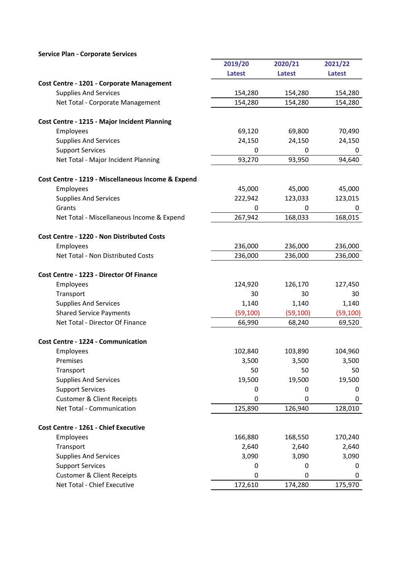|                                                    | 2019/20       | 2020/21     | 2021/22       |
|----------------------------------------------------|---------------|-------------|---------------|
|                                                    | <b>Latest</b> | Latest      | <b>Latest</b> |
| Cost Centre - 1201 - Corporate Management          |               |             |               |
| <b>Supplies And Services</b>                       | 154,280       | 154,280     | 154,280       |
| Net Total - Corporate Management                   | 154,280       | 154,280     | 154,280       |
| Cost Centre - 1215 - Major Incident Planning       |               |             |               |
| Employees                                          | 69,120        | 69,800      | 70,490        |
| <b>Supplies And Services</b>                       | 24,150        | 24,150      | 24,150        |
| <b>Support Services</b>                            | 0             | 0           | 0             |
| Net Total - Major Incident Planning                | 93,270        | 93,950      | 94,640        |
| Cost Centre - 1219 - Miscellaneous Income & Expend |               |             |               |
| Employees                                          | 45,000        | 45,000      | 45,000        |
| <b>Supplies And Services</b>                       | 222,942       | 123,033     | 123,015       |
| Grants                                             | 0             | 0           | 0             |
| Net Total - Miscellaneous Income & Expend          | 267,942       | 168,033     | 168,015       |
| Cost Centre - 1220 - Non Distributed Costs         |               |             |               |
| Employees                                          | 236,000       | 236,000     | 236,000       |
| Net Total - Non Distributed Costs                  | 236,000       | 236,000     | 236,000       |
| Cost Centre - 1223 - Director Of Finance           |               |             |               |
| Employees                                          | 124,920       | 126,170     | 127,450       |
| Transport                                          | 30            | 30          | 30            |
| <b>Supplies And Services</b>                       | 1,140         | 1,140       | 1,140         |
| <b>Shared Service Payments</b>                     | (59, 100)     | (59, 100)   | (59, 100)     |
| Net Total - Director Of Finance                    | 66,990        | 68,240      | 69,520        |
| <b>Cost Centre - 1224 - Communication</b>          |               |             |               |
| Employees                                          | 102,840       | 103,890     | 104,960       |
| Premises                                           | 3,500         | 3,500       | 3,500         |
| Transport                                          | 50            | 50          | 50            |
| <b>Supplies And Services</b>                       | 19,500        | 19,500      | 19,500        |
| <b>Support Services</b>                            | 0             | 0           | 0             |
| <b>Customer &amp; Client Receipts</b>              | 0             | $\mathbf 0$ | 0             |
| Net Total - Communication                          | 125,890       | 126,940     | 128,010       |
| Cost Centre - 1261 - Chief Executive               |               |             |               |
| Employees                                          | 166,880       | 168,550     | 170,240       |
| Transport                                          | 2,640         | 2,640       | 2,640         |
| <b>Supplies And Services</b>                       | 3,090         | 3,090       | 3,090         |
| <b>Support Services</b>                            | 0             | 0           | 0             |
| <b>Customer &amp; Client Receipts</b>              | 0             | 0           | 0             |
| Net Total - Chief Executive                        | 172,610       | 174,280     | 175,970       |

 $\overline{\phantom{a}}$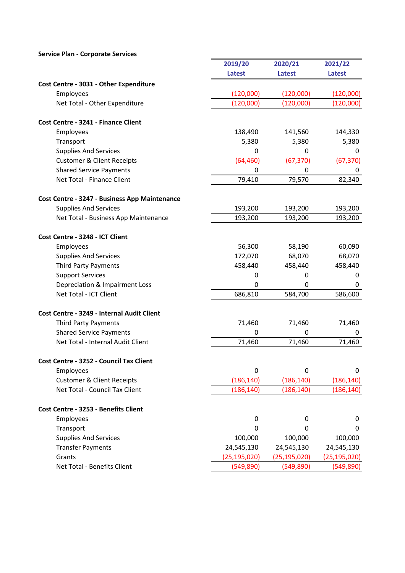|                                               | 2019/20          | 2020/21        | 2021/22        |
|-----------------------------------------------|------------------|----------------|----------------|
|                                               | <b>Latest</b>    | <b>Latest</b>  | <b>Latest</b>  |
| Cost Centre - 3031 - Other Expenditure        |                  |                |                |
| Employees                                     | (120,000)        | (120,000)      | (120,000)      |
| Net Total - Other Expenditure                 | (120,000)        | (120,000)      | (120,000)      |
| Cost Centre - 3241 - Finance Client           |                  |                |                |
| Employees                                     | 138,490          | 141,560        | 144,330        |
| Transport                                     | 5,380            | 5,380          | 5,380          |
| <b>Supplies And Services</b>                  | 0                | 0              | $\mathbf 0$    |
| <b>Customer &amp; Client Receipts</b>         | (64, 460)        | (67, 370)      | (67, 370)      |
| <b>Shared Service Payments</b>                | 0                | 0              | 0              |
| Net Total - Finance Client                    | 79,410           | 79,570         | 82,340         |
| Cost Centre - 3247 - Business App Maintenance |                  |                |                |
| <b>Supplies And Services</b>                  | 193,200          | 193,200        | 193,200        |
| Net Total - Business App Maintenance          | 193,200          | 193,200        | 193,200        |
| Cost Centre - 3248 - ICT Client               |                  |                |                |
| Employees                                     | 56,300           | 58,190         | 60,090         |
| <b>Supplies And Services</b>                  | 172,070          | 68,070         | 68,070         |
| <b>Third Party Payments</b>                   | 458,440          | 458,440        | 458,440        |
| <b>Support Services</b>                       | 0                | 0              | 0              |
| Depreciation & Impairment Loss                | 0                | $\mathbf{0}$   | $\mathbf 0$    |
| Net Total - ICT Client                        | 686,810          | 584,700        | 586,600        |
| Cost Centre - 3249 - Internal Audit Client    |                  |                |                |
| <b>Third Party Payments</b>                   | 71,460           | 71,460         | 71,460         |
| <b>Shared Service Payments</b>                | 0                | 0              | 0              |
| Net Total - Internal Audit Client             | 71,460           | 71,460         | 71,460         |
| Cost Centre - 3252 - Council Tax Client       |                  |                |                |
| Employees                                     | $\mathbf 0$      | $\Omega$       | 0              |
| <b>Customer &amp; Client Receipts</b>         | (186, 140)       | (186, 140)     | (186, 140)     |
| Net Total - Council Tax Client                | (186, 140)       | (186, 140)     | (186, 140)     |
| Cost Centre - 3253 - Benefits Client          |                  |                |                |
| Employees                                     | $\boldsymbol{0}$ | 0              | 0              |
| Transport                                     | $\Omega$         | 0              | 0              |
| <b>Supplies And Services</b>                  | 100,000          | 100,000        | 100,000        |
| <b>Transfer Payments</b>                      | 24,545,130       | 24,545,130     | 24,545,130     |
| Grants                                        | (25, 195, 020)   | (25, 195, 020) | (25, 195, 020) |
| Net Total - Benefits Client                   | (549, 890)       | (549, 890)     | (549, 890)     |

f,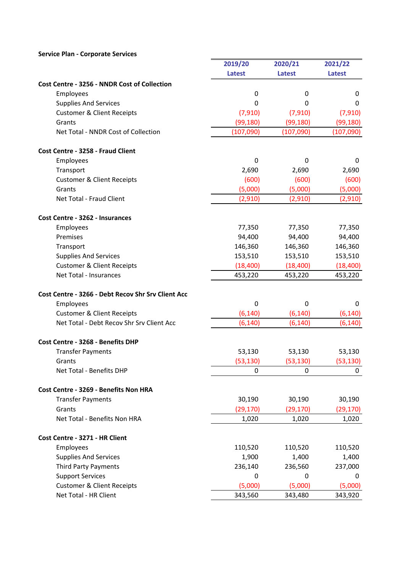|                                                    | 2019/20     | 2020/21   | 2021/22     |
|----------------------------------------------------|-------------|-----------|-------------|
|                                                    | Latest      | Latest    | Latest      |
| Cost Centre - 3256 - NNDR Cost of Collection       |             |           |             |
| Employees                                          | $\mathbf 0$ | 0         | $\mathbf 0$ |
| <b>Supplies And Services</b>                       | 0           | 0         | 0           |
| <b>Customer &amp; Client Receipts</b>              | (7, 910)    | (7, 910)  | (7, 910)    |
| Grants                                             | (99, 180)   | (99, 180) | (99, 180)   |
| Net Total - NNDR Cost of Collection                | (107,090)   | (107,090) | (107,090)   |
| Cost Centre - 3258 - Fraud Client                  |             |           |             |
| Employees                                          | 0           | 0         | 0           |
| Transport                                          | 2,690       | 2,690     | 2,690       |
| <b>Customer &amp; Client Receipts</b>              | (600)       | (600)     | (600)       |
| Grants                                             | (5,000)     | (5,000)   | (5,000)     |
| Net Total - Fraud Client                           | (2,910)     | (2,910)   | (2,910)     |
| Cost Centre - 3262 - Insurances                    |             |           |             |
| Employees                                          | 77,350      | 77,350    | 77,350      |
| Premises                                           | 94,400      | 94,400    | 94,400      |
| Transport                                          | 146,360     | 146,360   | 146,360     |
| <b>Supplies And Services</b>                       | 153,510     | 153,510   | 153,510     |
| <b>Customer &amp; Client Receipts</b>              | (18, 400)   | (18, 400) | (18, 400)   |
| Net Total - Insurances                             | 453,220     | 453,220   | 453,220     |
| Cost Centre - 3266 - Debt Recov Shr Srv Client Acc |             |           |             |
| Employees                                          | $\mathbf 0$ | 0         | $\mathbf 0$ |
| <b>Customer &amp; Client Receipts</b>              | (6, 140)    | (6, 140)  | (6, 140)    |
| Net Total - Debt Recov Shr Srv Client Acc          | (6, 140)    | (6, 140)  | (6, 140)    |
| Cost Centre - 3268 - Benefits DHP                  |             |           |             |
| <b>Transfer Payments</b>                           | 53,130      | 53,130    | 53,130      |
| Grants                                             | (53, 130)   | (53, 130) | (53, 130)   |
| Net Total - Benefits DHP                           | 0           | 0         | 0           |
| Cost Centre - 3269 - Benefits Non HRA              |             |           |             |
| <b>Transfer Payments</b>                           | 30,190      | 30,190    | 30,190      |
| Grants                                             | (29, 170)   | (29, 170) | (29,170)    |
| Net Total - Benefits Non HRA                       | 1,020       | 1,020     | 1,020       |
| Cost Centre - 3271 - HR Client                     |             |           |             |
| Employees                                          | 110,520     | 110,520   | 110,520     |
| <b>Supplies And Services</b>                       | 1,900       | 1,400     | 1,400       |
| <b>Third Party Payments</b>                        | 236,140     | 236,560   | 237,000     |
| <b>Support Services</b>                            | 0           | 0         | 0           |
| <b>Customer &amp; Client Receipts</b>              | (5,000)     | (5,000)   | (5,000)     |
| Net Total - HR Client                              | 343,560     | 343,480   | 343,920     |

 $\overline{\phantom{a}}$